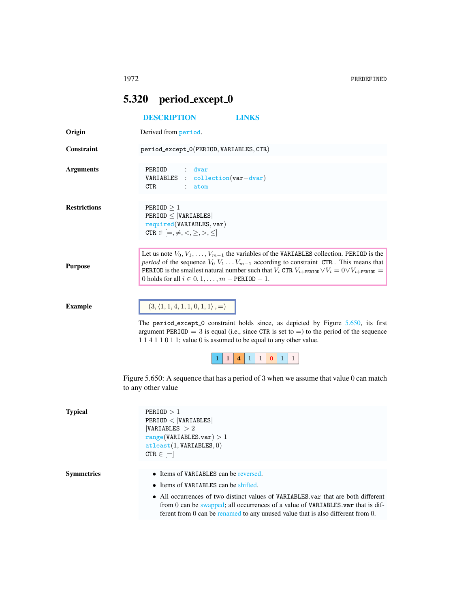## <span id="page-0-0"></span>5.320 period\_except\_0

<span id="page-0-1"></span>

|                     | <b>DESCRIPTION</b><br><b>LINKS</b>                                                                                                                                                                                                                                                                                                                                                   |
|---------------------|--------------------------------------------------------------------------------------------------------------------------------------------------------------------------------------------------------------------------------------------------------------------------------------------------------------------------------------------------------------------------------------|
| Origin              | Derived from period.                                                                                                                                                                                                                                                                                                                                                                 |
| <b>Constraint</b>   | period_except_0(PERIOD, VARIABLES, CTR)                                                                                                                                                                                                                                                                                                                                              |
| <b>Arguments</b>    | PERIOD<br>: dvar<br>$\text{collection}(var-dvar)$<br>VARIABLES<br>CTR.<br>atom                                                                                                                                                                                                                                                                                                       |
| <b>Restrictions</b> | PERIOD > 1<br>$PERIOD \leq  VARIABLES $<br>required(VARIABLES, var)<br>CTR $\in$ $[=,\neq,<,\geq,>,\leq]$                                                                                                                                                                                                                                                                            |
| <b>Purpose</b>      | Let us note $V_0, V_1, \ldots, V_{m-1}$ the variables of the VARIABLES collection. PERIOD is the<br><i>period</i> of the sequence $V_0 V_1 \ldots V_{m-1}$ according to constraint CTR. This means that<br><b>PERIOD</b> is the smallest natural number such that $V_i$ CTR $V_{i+PERTOD} \vee V_i = 0 \vee V_{i+PERTOD} =$<br>0 holds for all $i \in 0, 1, \ldots, m$ – PERIOD – 1. |
| <b>Example</b>      | $(3, \langle 1, 1, 4, 1, 1, 0, 1, 1 \rangle, =)$<br>The period_except_0 constraint holds since, as depicted by Figure 5.650, its first<br>argument PERIOD = 3 is equal (i.e., since CTR is set to =) to the period of the sequence<br>1 1 4 1 1 0 1 1; value 0 is assumed to be equal to any other value.                                                                            |
|                     | $\mathbf{1}$<br>$\mathbf{1}$<br>$\mathbf{1}$<br>$\mathbf{1}$<br>$\bf{0}$<br>$\mathbf{1}$<br>4<br>Figure 5.650: A sequence that has a period of 3 when we assume that value 0 can match<br>to any other value                                                                                                                                                                         |
| <b>Typical</b>      | PERIOD > 1<br>PERIOD <  VARIABLES <br> VARIABLES  > 2<br>range(VARIABLES.var) > 1<br>attleast(1, VARIABLES, 0)<br>$\mathtt{CTR} \in \left[ = \right]$                                                                                                                                                                                                                                |
| <b>Symmetries</b>   | • Items of VARIABLES can be reversed.<br>• Items of VARIABLES can be shifted.<br>• All occurrences of two distinct values of VARIABLES var that are both different<br>from 0 can be swapped; all occurrences of a value of VARIABLES var that is dif-<br>ferent from $0$ can be renamed to any unused value that is also different from $0$ .                                        |